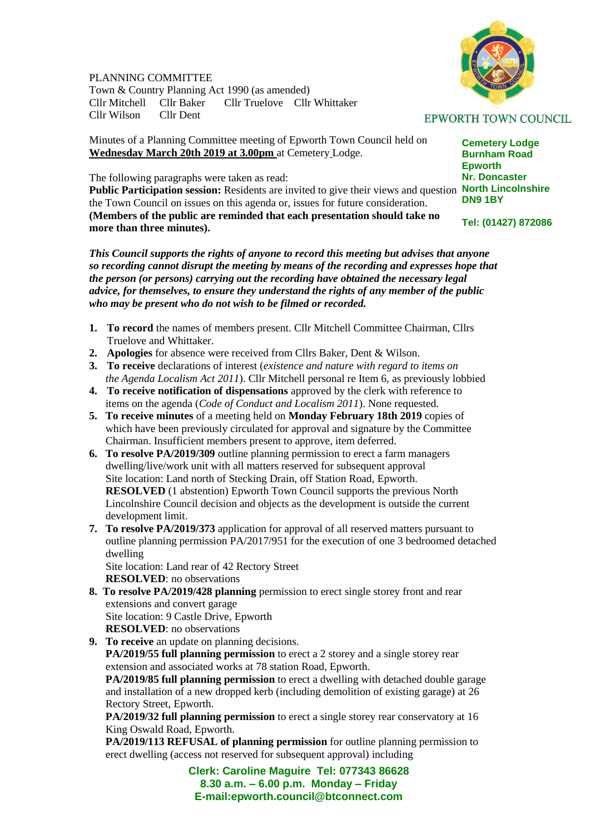## PLANNING COMMITTEE

Town & Country Planning Act 1990 (as amended) Cllr Mitchell Cllr Baker Cllr Truelove Cllr Whittaker Cllr Wilson Cllr Dent

Minutes of a Planning Committee meeting of Epworth Town Council held on **Wednesday March 20th 2019 at 3.00pm** at Cemetery Lodge.

The following paragraphs were taken as read:

Public Participation session: Residents are invited to give their views and question North Lincolnshire the Town Council on issues on this agenda or, issues for future consideration. **(Members of the public are reminded that each presentation should take no more than three minutes).**

*This Council supports the rights of anyone to record this meeting but advises that anyone so recording cannot disrupt the meeting by means of the recording and expresses hope that the person (or persons) carrying out the recording have obtained the necessary legal advice, for themselves, to ensure they understand the rights of any member of the public who may be present who do not wish to be filmed or recorded.*

- **1. To record** the names of members present. Cllr Mitchell Committee Chairman, Cllrs Truelove and Whittaker.
- **2. Apologies** for absence were received from Cllrs Baker, Dent & Wilson.
- **3. To receive** declarations of interest (*existence and nature with regard to items on the Agenda Localism Act 2011*). Cllr Mitchell personal re Item 6, as previously lobbied
- **4. To receive notification of dispensations** approved by the clerk with reference to items on the agenda (*Code of Conduct and Localism 2011*). None requested.
- **5. To receive minutes** of a meeting held on **Monday February 18th 2019** copies of which have been previously circulated for approval and signature by the Committee Chairman. Insufficient members present to approve, item deferred.
- **6. To resolve PA/2019/309** outline planning permission to erect a farm managers dwelling/live/work unit with all matters reserved for subsequent approval Site location: Land north of Stecking Drain, off Station Road, Epworth. **RESOLVED** (1 abstention) Epworth Town Council supports the previous North Lincolnshire Council decision and objects as the development is outside the current development limit.
- **7. To resolve PA/2019/373** application for approval of all reserved matters pursuant to outline planning permission PA/2017/951 for the execution of one 3 bedroomed detached dwelling

 Site location: Land rear of 42 Rectory Street **RESOLVED**: no observations

**8. To resolve PA/2019/428 planning** permission to erect single storey front and rear extensions and convert garage

 Site location: 9 Castle Drive, Epworth **RESOLVED**: no observations

**9. To receive** an update on planning decisions. **PA/2019/55 full planning permission** to erect a 2 storey and a single storey rear extension and associated works at 78 station Road, Epworth. **PA/2019/85 full planning permission** to erect a dwelling with detached double garage and installation of a new dropped kerb (including demolition of existing garage) at 26 Rectory Street, Epworth. **PA/2019/32 full planning permission** to erect a single storey rear conservatory at 16

King Oswald Road, Epworth.

 **PA/2019/113 REFUSAL of planning permission** for outline planning permission to erect dwelling (access not reserved for subsequent approval) including

> **Clerk: Caroline Maguire Tel: 077343 86628 8.30 a.m. – 6.00 p.m. Monday – Friday E-mail:epworth.council@btconnect.com**

## **EPWORTH TOWN COUNCIL**

**Cemetery Lodge Burnham Road Epworth Nr. Doncaster DN9 1BY**

**Tel: (01427) 872086**